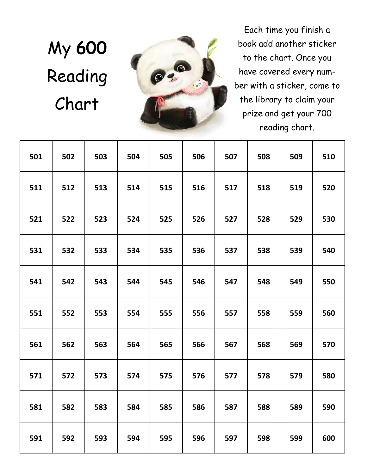## My **600**  Reading Chart



Each time you finish a book add another sticker to the chart. Once you have covered every number with a sticker, come to the library to claim your prize and get your 700 reading chart.

| 501 | 502 | 503 | 504 | 505 | 506 | 507 | 508 | 509 | 510 |
|-----|-----|-----|-----|-----|-----|-----|-----|-----|-----|
| 511 | 512 | 513 | 514 | 515 | 516 | 517 | 518 | 519 | 520 |
| 521 | 522 | 523 | 524 | 525 | 526 | 527 | 528 | 529 | 530 |
| 531 | 532 | 533 | 534 | 535 | 536 | 537 | 538 | 539 | 540 |
| 541 | 542 | 543 | 544 | 545 | 546 | 547 | 548 | 549 | 550 |
| 551 | 552 | 553 | 554 | 555 | 556 | 557 | 558 | 559 | 560 |
| 561 | 562 | 563 | 564 | 565 | 566 | 567 | 568 | 569 | 570 |
| 571 | 572 | 573 | 574 | 575 | 576 | 577 | 578 | 579 | 580 |
| 581 | 582 | 583 | 584 | 585 | 586 | 587 | 588 | 589 | 590 |
| 591 | 592 | 593 | 594 | 595 | 596 | 597 | 598 | 599 | 600 |